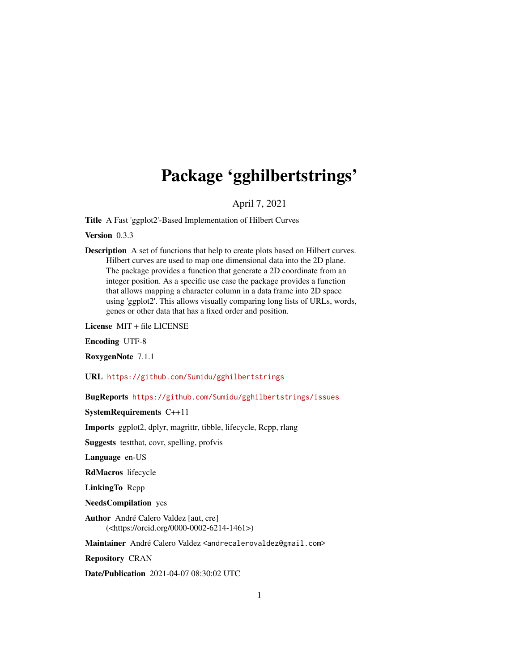## Package 'gghilbertstrings'

April 7, 2021

Title A Fast 'ggplot2'-Based Implementation of Hilbert Curves

Version 0.3.3

Description A set of functions that help to create plots based on Hilbert curves. Hilbert curves are used to map one dimensional data into the 2D plane. The package provides a function that generate a 2D coordinate from an integer position. As a specific use case the package provides a function that allows mapping a character column in a data frame into 2D space using 'ggplot2'. This allows visually comparing long lists of URLs, words, genes or other data that has a fixed order and position.

License MIT + file LICENSE

Encoding UTF-8

RoxygenNote 7.1.1

URL <https://github.com/Sumidu/gghilbertstrings>

BugReports <https://github.com/Sumidu/gghilbertstrings/issues>

SystemRequirements C++11

Imports ggplot2, dplyr, magrittr, tibble, lifecycle, Rcpp, rlang

Suggests testthat, covr, spelling, profvis

Language en-US

RdMacros lifecycle

LinkingTo Rcpp

NeedsCompilation yes

Author André Calero Valdez [aut, cre] (<https://orcid.org/0000-0002-6214-1461>)

Maintainer André Calero Valdez <andrecalerovaldez@gmail.com>

Repository CRAN

Date/Publication 2021-04-07 08:30:02 UTC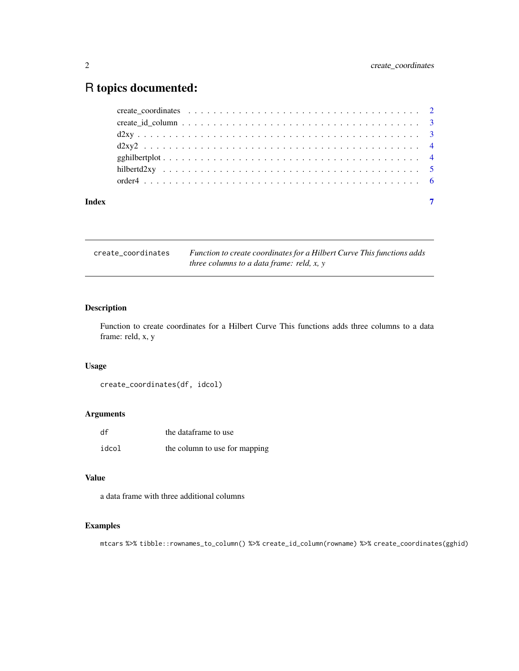### <span id="page-1-0"></span>R topics documented:

| Index |  |
|-------|--|

create\_coordinates *Function to create coordinates for a Hilbert Curve This functions adds three columns to a data frame: reld, x, y*

#### Description

Function to create coordinates for a Hilbert Curve This functions adds three columns to a data frame: reld, x, y

#### Usage

```
create_coordinates(df, idcol)
```
#### Arguments

| df    | the dataframe to use          |
|-------|-------------------------------|
| idcol | the column to use for mapping |

#### Value

a data frame with three additional columns

#### Examples

mtcars %>% tibble::rownames\_to\_column() %>% create\_id\_column(rowname) %>% create\_coordinates(gghid)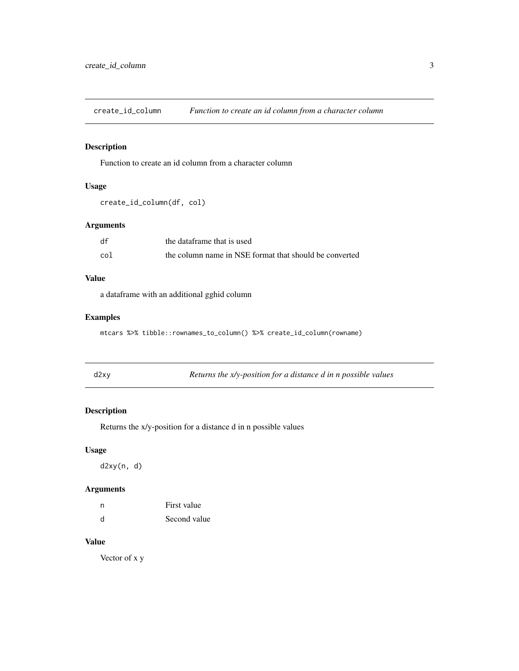<span id="page-2-0"></span>create\_id\_column *Function to create an id column from a character column*

#### Description

Function to create an id column from a character column

#### Usage

```
create_id_column(df, col)
```
#### Arguments

| df  | the dataframe that is used                             |
|-----|--------------------------------------------------------|
| col | the column name in NSE format that should be converted |

#### Value

a dataframe with an additional gghid column

#### Examples

mtcars %>% tibble::rownames\_to\_column() %>% create\_id\_column(rowname)

| × |  |  |
|---|--|--|
|   |  |  |

y *Returns the x/y-position for a distance d in n possible values* 

#### Description

Returns the x/y-position for a distance d in n possible values

#### Usage

d2xy(n, d)

#### Arguments

| n | First value  |
|---|--------------|
| d | Second value |

#### Value

Vector of x y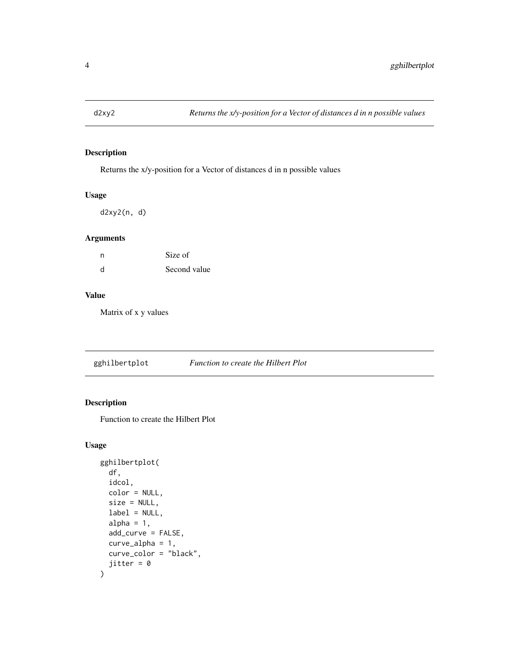<span id="page-3-0"></span>

#### Description

Returns the x/y-position for a Vector of distances d in n possible values

#### Usage

d2xy2(n, d)

#### Arguments

| n | Size of      |
|---|--------------|
| d | Second value |

#### Value

Matrix of x y values

gghilbertplot *Function to create the Hilbert Plot*

#### Description

Function to create the Hilbert Plot

#### Usage

```
gghilbertplot(
 df,
  idcol,
 color = NULL,
  size = NULL,
  label = NULL,
  alpha = 1,
  add_curve = FALSE,
  curve_alpha = 1,
  curve_color = "black",
  jitter = 0
\mathcal{L}
```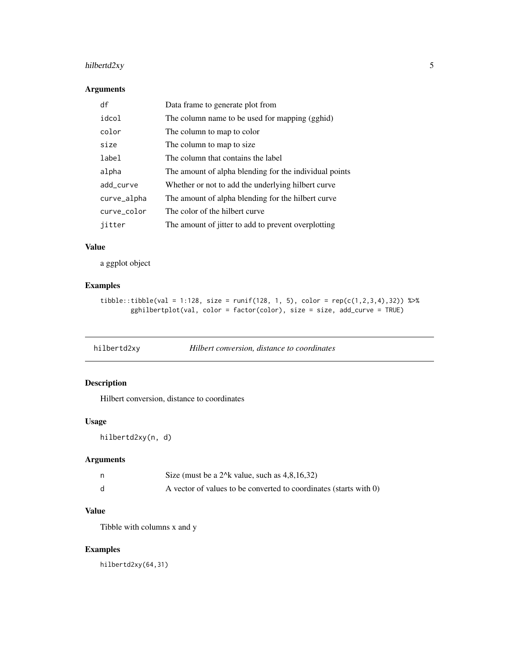#### <span id="page-4-0"></span>hilbertd2xy 5

#### Arguments

| df          | Data frame to generate plot from                       |
|-------------|--------------------------------------------------------|
| idcol       | The column name to be used for mapping (gghid)         |
| color       | The column to map to color                             |
| size        | The column to map to size.                             |
| label       | The column that contains the label                     |
| alpha       | The amount of alpha blending for the individual points |
| add_curve   | Whether or not to add the underlying hilbert curve     |
| curve_alpha | The amount of alpha blending for the hilbert curve.    |
| curve color | The color of the hilbert curve                         |
| jitter      | The amount of jitter to add to prevent overplotting    |

#### Value

a ggplot object

#### Examples

```
tibble::tibble(value = 1:128, size = runif(128, 1, 5), color = rep(c(1,2,3,4),32)) %gghilbertplot(val, color = factor(color), size = size, add_curve = TRUE)
```

| hilbertd2xy |  | Hilbert conversion, distance to coordinates |
|-------------|--|---------------------------------------------|
|-------------|--|---------------------------------------------|

#### Description

Hilbert conversion, distance to coordinates

#### Usage

hilbertd2xy(n, d)

#### Arguments

| Size (must be a $2^k$ value, such as $4,8,16,32$ )                |
|-------------------------------------------------------------------|
| A vector of values to be converted to coordinates (starts with 0) |

#### Value

Tibble with columns x and y

#### Examples

hilbertd2xy(64,31)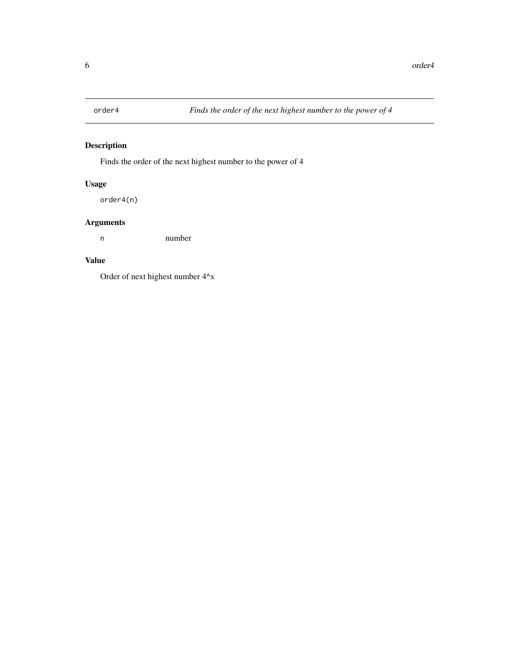<span id="page-5-0"></span>

#### Description

Finds the order of the next highest number to the power of 4

#### Usage

order4(n)

#### Arguments

n number

#### Value

Order of next highest number 4^x